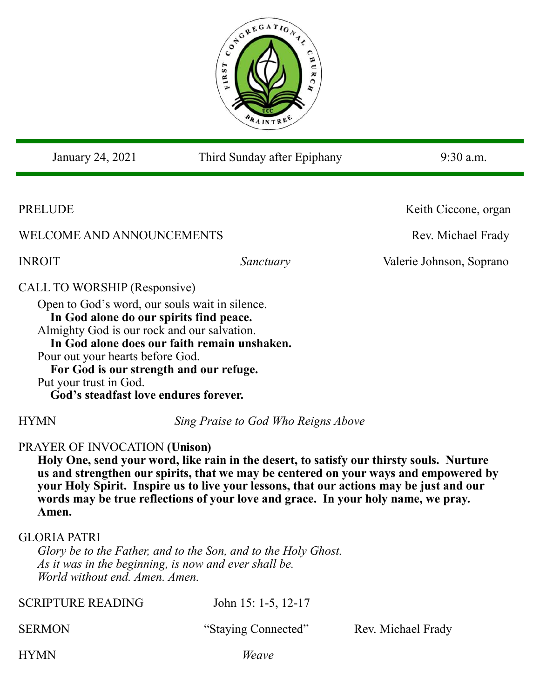

| January 24, 2021                                                                                                                                                                                                                                                                                                           | Third Sunday after Epiphany                                                                                                                                                                                                                                                                                                                                      | 9:30 a.m.                |
|----------------------------------------------------------------------------------------------------------------------------------------------------------------------------------------------------------------------------------------------------------------------------------------------------------------------------|------------------------------------------------------------------------------------------------------------------------------------------------------------------------------------------------------------------------------------------------------------------------------------------------------------------------------------------------------------------|--------------------------|
|                                                                                                                                                                                                                                                                                                                            |                                                                                                                                                                                                                                                                                                                                                                  |                          |
| PRELUDE                                                                                                                                                                                                                                                                                                                    |                                                                                                                                                                                                                                                                                                                                                                  | Keith Ciccone, organ     |
| WELCOME AND ANNOUNCEMENTS                                                                                                                                                                                                                                                                                                  |                                                                                                                                                                                                                                                                                                                                                                  | Rev. Michael Frady       |
| <b>INROIT</b>                                                                                                                                                                                                                                                                                                              | Sanctuary                                                                                                                                                                                                                                                                                                                                                        | Valerie Johnson, Soprano |
| CALL TO WORSHIP (Responsive)<br>Open to God's word, our souls wait in silence.<br>In God alone do our spirits find peace.<br>Almighty God is our rock and our salvation.<br>Pour out your hearts before God.<br>For God is our strength and our refuge.<br>Put your trust in God.<br>God's steadfast love endures forever. | In God alone does our faith remain unshaken.                                                                                                                                                                                                                                                                                                                     |                          |
| <b>HYMN</b>                                                                                                                                                                                                                                                                                                                | Sing Praise to God Who Reigns Above                                                                                                                                                                                                                                                                                                                              |                          |
| <b>PRAYER OF INVOCATION (Unison)</b><br>Amen.                                                                                                                                                                                                                                                                              | Holy One, send your word, like rain in the desert, to satisfy our thirsty souls. Nurture<br>us and strengthen our spirits, that we may be centered on your ways and empowered by<br>your Holy Spirit. Inspire us to live your lessons, that our actions may be just and our<br>words may be true reflections of your love and grace. In your holy name, we pray. |                          |
| <b>GLORIA PATRI</b><br>World without end. Amen. Amen.                                                                                                                                                                                                                                                                      | Glory be to the Father, and to the Son, and to the Holy Ghost.<br>As it was in the beginning, is now and ever shall be.                                                                                                                                                                                                                                          |                          |
| <b>SCRIPTURE READING</b>                                                                                                                                                                                                                                                                                                   | John 15: 1-5, 12-17                                                                                                                                                                                                                                                                                                                                              |                          |
| <b>SERMON</b>                                                                                                                                                                                                                                                                                                              | "Staying Connected"                                                                                                                                                                                                                                                                                                                                              | Rev. Michael Frady       |
| <b>HYMN</b>                                                                                                                                                                                                                                                                                                                | Weave                                                                                                                                                                                                                                                                                                                                                            |                          |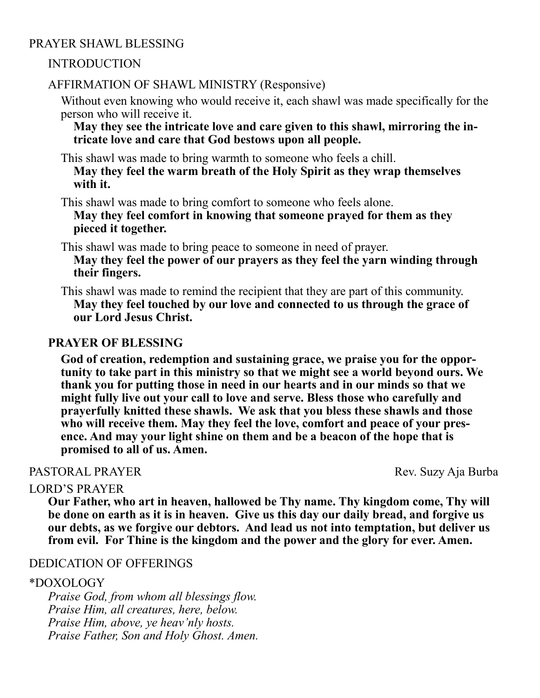# PRAYER SHAWL BLESSING

### INTRODUCTION

## AFFIRMATION OF SHAWL MINISTRY (Responsive)

Without even knowing who would receive it, each shawl was made specifically for the person who will receive it.

**May they see the intricate love and care given to this shawl, mirroring the intricate love and care that God bestows upon all people.**

This shawl was made to bring warmth to someone who feels a chill.

**May they feel the warm breath of the Holy Spirit as they wrap themselves with it.** 

This shawl was made to bring comfort to someone who feels alone. **May they feel comfort in knowing that someone prayed for them as they pieced it together.**

This shawl was made to bring peace to someone in need of prayer. **May they feel the power of our prayers as they feel the yarn winding through their fingers.**

This shawl was made to remind the recipient that they are part of this community. **May they feel touched by our love and connected to us through the grace of our Lord Jesus Christ.**

### **PRAYER OF BLESSING**

**God of creation, redemption and sustaining grace, we praise you for the opportunity to take part in this ministry so that we might see a world beyond ours. We thank you for putting those in need in our hearts and in our minds so that we might fully live out your call to love and serve. Bless those who carefully and prayerfully knitted these shawls. We ask that you bless these shawls and those**  who will receive them. May they feel the love, comfort and peace of your pres**ence. And may your light shine on them and be a beacon of the hope that is promised to all of us. Amen.** 

# PASTORAL PRAYER Rev. Suzy Aja Burba

#### LORD'S PRAYER

**Our Father, who art in heaven, hallowed be Thy name. Thy kingdom come, Thy will be done on earth as it is in heaven. Give us this day our daily bread, and forgive us our debts, as we forgive our debtors. And lead us not into temptation, but deliver us from evil. For Thine is the kingdom and the power and the glory for ever. Amen.**

## DEDICATION OF OFFERINGS

#### \*DOXOLOGY

*Praise God, from whom all blessings flow. Praise Him, all creatures, here, below. Praise Him, above, ye heav'nly hosts. Praise Father, Son and Holy Ghost. Amen.*